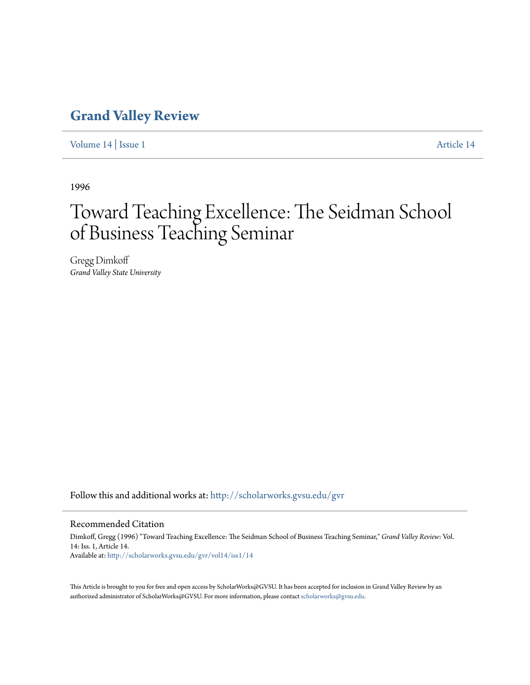## **[Grand Valley Review](http://scholarworks.gvsu.edu/gvr?utm_source=scholarworks.gvsu.edu%2Fgvr%2Fvol14%2Fiss1%2F14&utm_medium=PDF&utm_campaign=PDFCoverPages)**

[Volume 14](http://scholarworks.gvsu.edu/gvr/vol14?utm_source=scholarworks.gvsu.edu%2Fgvr%2Fvol14%2Fiss1%2F14&utm_medium=PDF&utm_campaign=PDFCoverPages) | [Issue 1](http://scholarworks.gvsu.edu/gvr/vol14/iss1?utm_source=scholarworks.gvsu.edu%2Fgvr%2Fvol14%2Fiss1%2F14&utm_medium=PDF&utm_campaign=PDFCoverPages) [Article 14](http://scholarworks.gvsu.edu/gvr/vol14/iss1/14?utm_source=scholarworks.gvsu.edu%2Fgvr%2Fvol14%2Fiss1%2F14&utm_medium=PDF&utm_campaign=PDFCoverPages)

1996

# Toward Teaching Excellence: The Seidman School of Business Teaching Seminar

Gregg Dimkoff *Grand Valley State University*

Follow this and additional works at: [http://scholarworks.gvsu.edu/gvr](http://scholarworks.gvsu.edu/gvr?utm_source=scholarworks.gvsu.edu%2Fgvr%2Fvol14%2Fiss1%2F14&utm_medium=PDF&utm_campaign=PDFCoverPages)

#### Recommended Citation

Dimkoff, Gregg (1996) "Toward Teaching Excellence: The Seidman School of Business Teaching Seminar," *Grand Valley Review*: Vol. 14: Iss. 1, Article 14. Available at: [http://scholarworks.gvsu.edu/gvr/vol14/iss1/14](http://scholarworks.gvsu.edu/gvr/vol14/iss1/14?utm_source=scholarworks.gvsu.edu%2Fgvr%2Fvol14%2Fiss1%2F14&utm_medium=PDF&utm_campaign=PDFCoverPages)

This Article is brought to you for free and open access by ScholarWorks@GVSU. It has been accepted for inclusion in Grand Valley Review by an authorized administrator of ScholarWorks@GVSU. For more information, please contact [scholarworks@gvsu.edu.](mailto:scholarworks@gvsu.edu)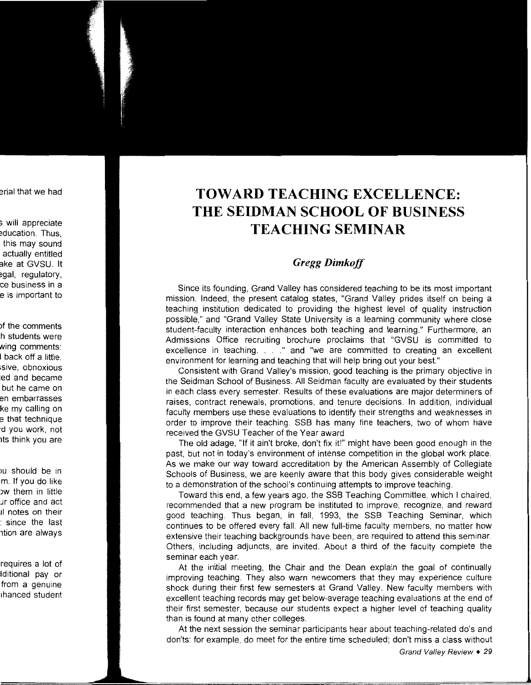## **TOWARD TEACHING EXCELLENCE: THE SEIDMAN SCHOOL OF BUSINESS TEACHING SEMINAR**

### *Gregg Dimkoff*

Since its founding, Grand Valley has considered teaching to be its most important mission. Indeed, the present catalog states, "Grand Valley prides itself on being a teaching institution dedicated to providing the highest level of quality instruction possible," and "Grand Valley State University is a learning community where close student-faculty interaction enhances both teaching and learning." Furthermore, an Admissions Office recruiting brochure proclaims that "GVSU is committed to excellence in teaching. . . ." and "we are committed to creating an excellent environment for learning and teaching that will help bring out your best."

Consistent with Grand Valley's mission, good teaching is the primary objective in the Seidman School of Business. All Seidman faculty are evaluated by their students in each class every semester. Results of these evaluations are major determiners of raises, contract renewals, promotions, and tenure decisions. In addition, individual faculty members use these evaluations to identify their strengths and weaknesses in order to improve their teaching. SSB has many fine teachers, two of whom have received the GVSU Teacher of the Year award.

The old adage, "If it ain't broke, don't fix it!" might have been good enough in the past, but not in today's environment of intense competition in the global work place. As we make our way toward accreditation by the American Assembly of Collegiate Schools of Business, we are keenly aware that this body gives considerable weight to a demonstration of the school's continuing attempts to improve teaching.

Toward this end, a few years ago, the SSB Teaching Committee, which I chaired, recommended that a new program be instituted to improve, recognize, and reward good teaching. Thus began, in fall, 1993, the SSB Teaching Seminar, which continues to be offered every fall. All new full-time faculty members, no matter how extensive their teaching backgrounds have been, are required to attend this seminar. Others, including adjuncts, are invited. About a third of the faculty complete the seminar each year.

At the initial meeting, the Chair and the Dean explain the goal of continually improving teaching. They also warn newcomers that they may experience culture shock during their first few semesters at Grand Valley. New faculty members with excellent teaching records may get below-average teaching evaluations at the end of their first semester, because our students expect a higher level of teaching quality than is found at many other colleges.

At the next session the seminar participants hear about teaching-related do's and don'ts: for example, do meet for the entire time scheduled; don't miss a class without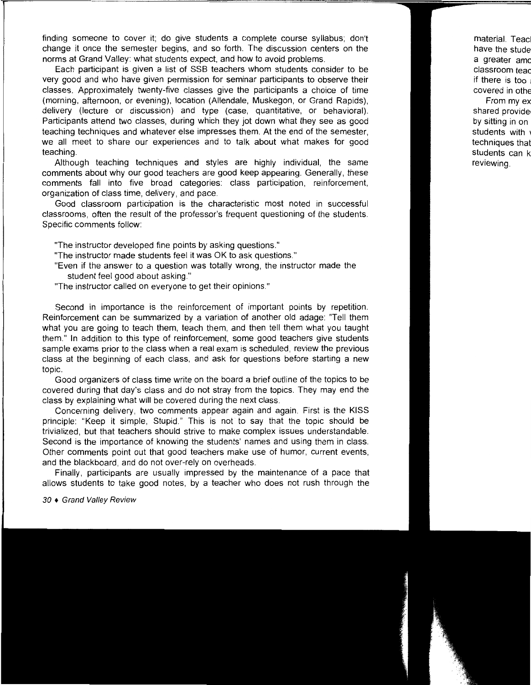finding someone to cover it; do give students a complete course syllabus; don't change it once the semester begins, and so forth. The discussion centers on the norms at Grand Valley: what students expect, and how to avoid problems.

Each participant is given a list of SSB teachers whom students consider to be very good and who have given permission for seminar participants to observe their classes. Approximately twenty-five classes give the participants a choice of time (morning, afternoon, or evening), location (Allendale, Muskegon, or Grand Rapids), delivery (lecture or discussion) and type (case, quantitative, or behavioral). Participants attend two classes, during which they jot down what they see as good teaching techniques and whatever else impresses them. At the end of the semester, we all meet to share our experiences and to talk about what makes for good teaching.

Although teaching techniques and styles are highly individual, the same comments about why our good teachers are good keep appearing. Generally, these comments fall into five broad categories: class participation, reinforcement, organization of class time, delivery, and pace.

Good classroom participation is the characteristic most noted in successful classrooms, often the result of the professor's frequent questioning of the students. Specific comments follow:

"The instructor developed fine points by asking questions."

- "The instructor made students feel it was OK to ask questions."
- "Even if the answer to a question was totally wrong, the instructor made the student feel good about asking."
- "The instructor called on everyone to get their opinions."

Second in importance is the reinforcement of important points by repetition. Reinforcement can be summarized by a variation of another old adage: "Tell them what you are going to teach them, teach them, and then tell them what you taught them." In addition to this type of reinforcement, some good teachers give students sample exams prior to the class when a real exam is scheduled, review the previous class at the beginning of each class, and ask for questions before starting a new topic.

Good organizers of class time write on the board a brief outline of the topics to be covered during that day's class and do not stray from the topics. They may end the class by explaining what will be covered during the next class.

Concerning delivery, two comments appear again and again. First is the KISS principle: "Keep it simple, Stupid." This is not to say that the topic should be trivialized, but that teachers should strive to make complex issues understandable. Second is the importance of knowing the students' names and using them in class. Other comments point out that good teachers make use of humor, current events, and the blackboard, and do not over-rely on overheads.

Finally, participants are usually impressed by the maintenance of a pace that allows students to take good notes, by a teacher who does not rush through the